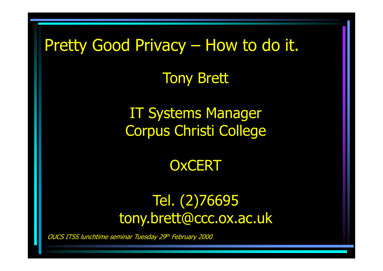### Pretty Good Privacy – How to do it.

Tony Brett

IT Systems ManagerCorpus Christi College

**OxCERT** 

#### Tel. (2)76695tony.brett@ccc.ox.ac.uk

OUCS ITSS lunchtime seminar Tuesday 29th February 2000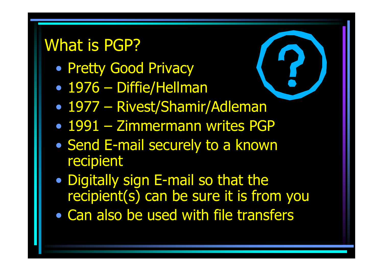### What is PGP?

- •Pretty Good Privacy
- •• 1976 – Diffie/Hellman<br>• 1977 – Pivest/Shamir
- $\bullet$ 1977 – Rivest/Shamir/Adleman
- •1991 – Zimmermann writes PGP
- •• Send E-mail securely to a known recipient
- •• Digitally sign E-mail so that the recipient(s) can be sure it is from you
- •Can also be used with file transfers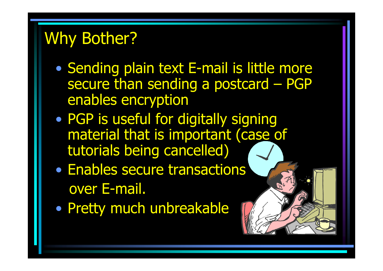## Why Bother?

- • Sending plain text E-mail is little more secure than sending a postcard – PGP enables encryption
- •• PGP is useful for digitally signing material that is important (case of tutorials being cancelled)
- •• Enables secure transactions over E-mail.
- $\bullet$ Pretty much unbreakable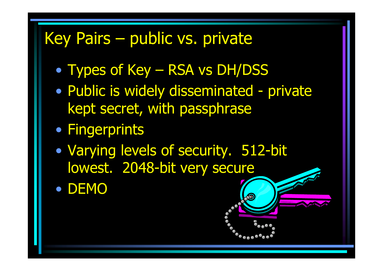## Key Pairs – public vs. private

- •• Types of Key – RSA vs DH/DSS<br>• Bublie is widely disseminated
- •• Public is widely disseminated - private<br>Rent secret with passphrase kept secret, with passphrase
- Fingerprints
- $\bullet$  Varying levels of security. 512-bit lowest. 2048-bit very secure
- •DEMO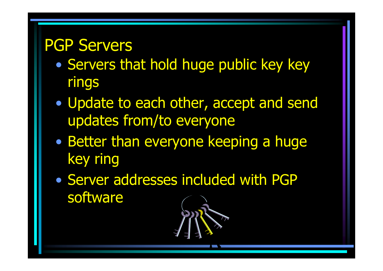#### PGP Servers

- •**• Servers that hold huge public key key** rings
- • Update to each other, accept and send updates from/to everyone
- •**• Better than everyone keeping a huge** key ring
- $\bullet$  Server addresses included with PGP software

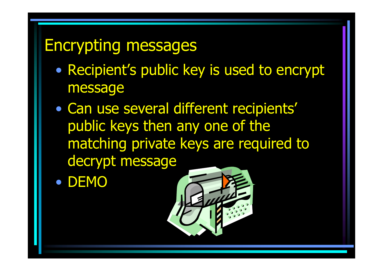#### Encrypting messages

- • Recipient's public key is used to encrypt message
- • Can use several different recipients' public keys then any one of the matching private keys are required to decrypt message
- •DEMO

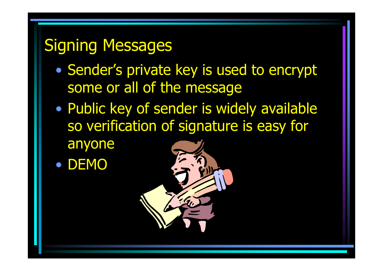### Signing Messages

- •• Sender's private key is used to encrypt some or all of the message
- • Public key of sender is widely available so verification of signature is easy for
	- anyone
- •DEMO

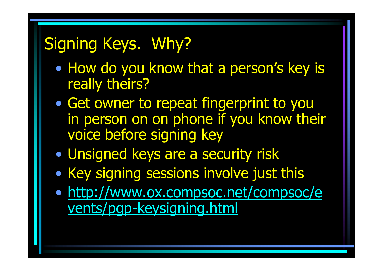## Signing Keys. Why?

- •• How do you know that a person's key is really theirs?
- •• Get owner to repeat fingerprint to you in person on on phone if you know their voice before signing key
- •Unsigned keys are a security risk
- •Key signing sessions involve just this
- • http://www.ox.compsoc.net/compsoc/events/pgp-keysigning.html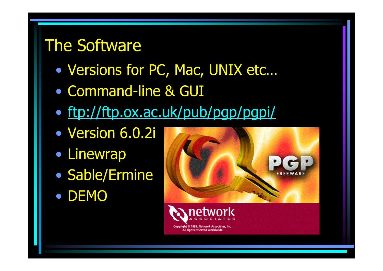### The Software

- $\bullet$ Versions for PC, Mac, UNIX etc…
- $\bullet$ Command-line & GUI
- $\bullet$ ftp://ftp.ox.ac.uk/pub/pgp/pgpi/
- $\bullet$ Version 6.0.2i
- Linewrap
- $\bullet$ • Sable/Ermine
- DEMO



: © 1998. Network Associates All rights reserved worldwi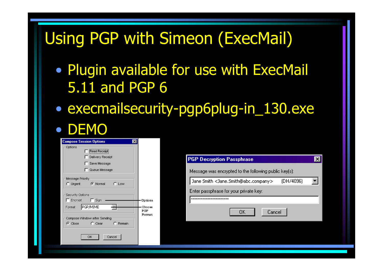# Using PGP with Simeon (ExecMail)

- $\bullet$  Plugin available for use with ExecMail 5.11 and PGP 6
- • execmailsecurity-pgp6plug-in\_130.exe $\bullet$ **.** DEMO

| <b>Compose Session Options</b><br>×                      |                         |                                                                           |
|----------------------------------------------------------|-------------------------|---------------------------------------------------------------------------|
| Options<br>Read Receipt                                  |                         |                                                                           |
| Delivery Receipt                                         |                         | <b>PGP Decryption Passphrase</b><br>$\vert x \vert$                       |
| Save Message                                             |                         |                                                                           |
| Queue Message                                            |                         | Message was encrypted to the following public key[s]:                     |
| Message Priority<br><b>6</b> Normal<br>C Urgent<br>C Low |                         | (DH/4096)<br>Jane Smith <jane.smith@abc.company></jane.smith@abc.company> |
| Security Options                                         |                         | Enter passphrase for your private key:                                    |
| $\Gamma$ Sign<br>$\Gamma$ Encrypt                        | Options                 | <b>xxxxxxxxxxxxxxxxxxxxxxx</b>                                            |
| PGP/MIME<br>Format                                       | Choose<br>PGP<br>Pormat | Cancel<br>OK                                                              |
| Compose Window after Sending                             |                         |                                                                           |
| G Close<br>C Remain<br>$\Gamma$ Clear                    |                         |                                                                           |
| OK<br>Cancel                                             |                         |                                                                           |
|                                                          |                         |                                                                           |
|                                                          |                         |                                                                           |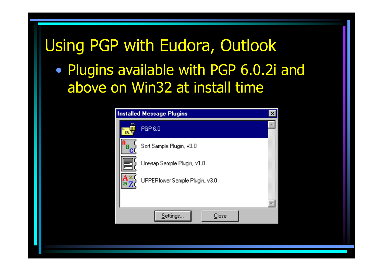### Using PGP with Eudora, Outlook

 $\bullet$  Plugins available with PGP 6.0.2i and above on Win32 at install time

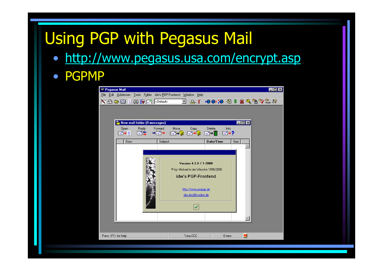# Using PGP with Pegasus Mail

- http://www.pegasus.usa.com/encrypt.asp
- PGPMP

| Edit Addresses Tools Folder idw's PGP-Frontend Window Help<br>Eile<br><b>X △ △ 图 日 3 1 【 KI <default></default></b><br>EDX<br>New mail folder (0 messages)<br>Reply<br>Delete<br>Forward<br>Move<br>Copy<br>Info<br>Open<br>█▚▚▔█▚▚<br>國友<br>$\rightarrow \rightarrow +$<br>$\mathbb{R}^n$ $\rightarrow$ $\boxed{0}$<br>$m \rightarrow m$<br>$m \rightarrow ?$<br>Date/Time<br>From<br>Subject<br>Size<br>Version 4.2.0 / 1-2000<br><sup>©</sup> by: Michael in der Wiesche 1999/2000<br>idw's PGP-Frontend<br>http://www.pmpgp.de<br>idw.doc@t-online.de<br>$\blacktriangledown$<br>$\bullet$<br>Tony.CCC<br>Press <f1> for help<br/>0 new</f1> | <b>XX Pegasus Mail</b> |  |  |  |  |  |  |  |  | $\blacksquare$ $\blacksquare$ $\times$ |
|--------------------------------------------------------------------------------------------------------------------------------------------------------------------------------------------------------------------------------------------------------------------------------------------------------------------------------------------------------------------------------------------------------------------------------------------------------------------------------------------------------------------------------------------------------------------------------------------------------------------------------------------------|------------------------|--|--|--|--|--|--|--|--|----------------------------------------|
|                                                                                                                                                                                                                                                                                                                                                                                                                                                                                                                                                                                                                                                  |                        |  |  |  |  |  |  |  |  |                                        |
|                                                                                                                                                                                                                                                                                                                                                                                                                                                                                                                                                                                                                                                  |                        |  |  |  |  |  |  |  |  |                                        |
|                                                                                                                                                                                                                                                                                                                                                                                                                                                                                                                                                                                                                                                  |                        |  |  |  |  |  |  |  |  |                                        |
|                                                                                                                                                                                                                                                                                                                                                                                                                                                                                                                                                                                                                                                  |                        |  |  |  |  |  |  |  |  |                                        |
|                                                                                                                                                                                                                                                                                                                                                                                                                                                                                                                                                                                                                                                  |                        |  |  |  |  |  |  |  |  |                                        |
|                                                                                                                                                                                                                                                                                                                                                                                                                                                                                                                                                                                                                                                  |                        |  |  |  |  |  |  |  |  |                                        |
|                                                                                                                                                                                                                                                                                                                                                                                                                                                                                                                                                                                                                                                  |                        |  |  |  |  |  |  |  |  |                                        |
|                                                                                                                                                                                                                                                                                                                                                                                                                                                                                                                                                                                                                                                  |                        |  |  |  |  |  |  |  |  |                                        |
|                                                                                                                                                                                                                                                                                                                                                                                                                                                                                                                                                                                                                                                  |                        |  |  |  |  |  |  |  |  |                                        |
|                                                                                                                                                                                                                                                                                                                                                                                                                                                                                                                                                                                                                                                  |                        |  |  |  |  |  |  |  |  |                                        |
|                                                                                                                                                                                                                                                                                                                                                                                                                                                                                                                                                                                                                                                  |                        |  |  |  |  |  |  |  |  |                                        |
|                                                                                                                                                                                                                                                                                                                                                                                                                                                                                                                                                                                                                                                  |                        |  |  |  |  |  |  |  |  |                                        |
|                                                                                                                                                                                                                                                                                                                                                                                                                                                                                                                                                                                                                                                  |                        |  |  |  |  |  |  |  |  |                                        |
|                                                                                                                                                                                                                                                                                                                                                                                                                                                                                                                                                                                                                                                  |                        |  |  |  |  |  |  |  |  |                                        |
|                                                                                                                                                                                                                                                                                                                                                                                                                                                                                                                                                                                                                                                  |                        |  |  |  |  |  |  |  |  |                                        |
|                                                                                                                                                                                                                                                                                                                                                                                                                                                                                                                                                                                                                                                  |                        |  |  |  |  |  |  |  |  |                                        |
|                                                                                                                                                                                                                                                                                                                                                                                                                                                                                                                                                                                                                                                  |                        |  |  |  |  |  |  |  |  |                                        |
|                                                                                                                                                                                                                                                                                                                                                                                                                                                                                                                                                                                                                                                  |                        |  |  |  |  |  |  |  |  |                                        |
|                                                                                                                                                                                                                                                                                                                                                                                                                                                                                                                                                                                                                                                  |                        |  |  |  |  |  |  |  |  |                                        |
|                                                                                                                                                                                                                                                                                                                                                                                                                                                                                                                                                                                                                                                  |                        |  |  |  |  |  |  |  |  |                                        |
|                                                                                                                                                                                                                                                                                                                                                                                                                                                                                                                                                                                                                                                  |                        |  |  |  |  |  |  |  |  |                                        |
|                                                                                                                                                                                                                                                                                                                                                                                                                                                                                                                                                                                                                                                  |                        |  |  |  |  |  |  |  |  |                                        |
|                                                                                                                                                                                                                                                                                                                                                                                                                                                                                                                                                                                                                                                  |                        |  |  |  |  |  |  |  |  |                                        |
|                                                                                                                                                                                                                                                                                                                                                                                                                                                                                                                                                                                                                                                  |                        |  |  |  |  |  |  |  |  |                                        |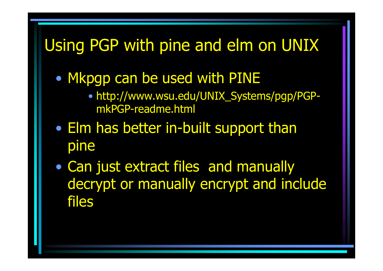## Using PGP with pine and elm on UNIX

- • Mkpgp can be used with PINE
	- http://www.wsu.edu/UNIX\_Systems/pgp/PGPmkPGP-readme.html
- • Elm has better in-built support than pine
- • Can just extract files and manually decrypt or manually encrypt and include files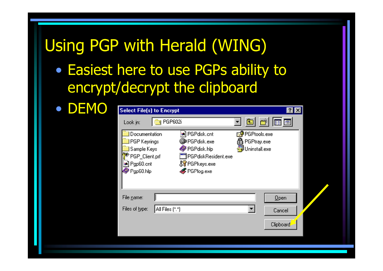## Using PGP with Herald (WING)

 $\bullet$  Easiest here to use PGPs ability to encrypt/decrypt the clipboard

| <b>DEMO</b><br><b>Select File(s) to Encrypt</b>                                                    |                                                                                                     | 7x                                                             |  |
|----------------------------------------------------------------------------------------------------|-----------------------------------------------------------------------------------------------------|----------------------------------------------------------------|--|
| Look in:                                                                                           | PGP602i<br>N                                                                                        | 回目<br>囲田                                                       |  |
| Documentation<br><b>PGP</b> Keyrings<br>Sample Keys<br>PGP_Client.prf<br>an Pgp60.cnt<br>Pgp60.hlp | an PGPdisk.cnt<br>C PGPdisk.exe<br>PGPdisk.hlp<br>PGPdiskResident.exe<br>SPGPkeys.exe<br>PGPlog.exe | <b>R</b> PGPtools.exe<br><b>合</b> PGPtray.exe<br>Uninstall.exe |  |
| File name:<br>Files of type:                                                                       | All Files (*.*)                                                                                     | Qpen<br>$\blacktriangledown$<br>Cancel                         |  |
|                                                                                                    |                                                                                                     | Clipboard                                                      |  |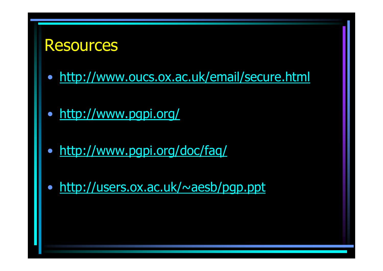#### Resources

- http://www.oucs.ox.ac.uk/email/secure.html
- http://www.pgpi.org/
- http://www.pgpi.org/doc/faq/
- $\bullet$ http://users.ox.ac.uk/~aesb/pgp.ppt